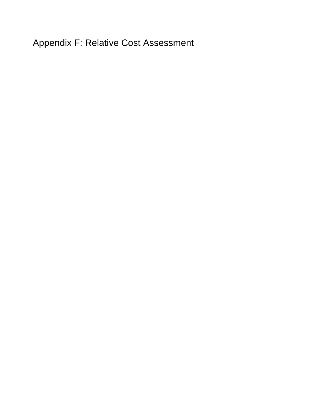Appendix F: Relative Cost Assessment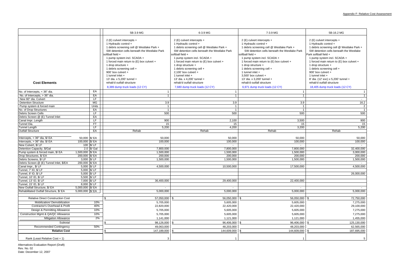|                                          |                         | 5B-3.9 MG                                                                                                                                                                                                                                                                                                                                                                                                                                  | 6-3.9 MG                                                                                                                                                                                                                                                                                                                                                                                                                                       | 7-3.9 MG                                                                                                                                                                                                                                                                                                                                                                                                                                       | 5B-16.2 MG                                                                                                                                                                                                                                                                                                                                                                                                                                             |  |
|------------------------------------------|-------------------------|--------------------------------------------------------------------------------------------------------------------------------------------------------------------------------------------------------------------------------------------------------------------------------------------------------------------------------------------------------------------------------------------------------------------------------------------|------------------------------------------------------------------------------------------------------------------------------------------------------------------------------------------------------------------------------------------------------------------------------------------------------------------------------------------------------------------------------------------------------------------------------------------------|------------------------------------------------------------------------------------------------------------------------------------------------------------------------------------------------------------------------------------------------------------------------------------------------------------------------------------------------------------------------------------------------------------------------------------------------|--------------------------------------------------------------------------------------------------------------------------------------------------------------------------------------------------------------------------------------------------------------------------------------------------------------------------------------------------------------------------------------------------------------------------------------------------------|--|
| <b>Cost Elements</b>                     |                         | 2 (E) culvert intercepts +<br>1 Hydraulic control +<br>1 debris screening cell @ Westlake Park +<br>SW detention cells beneath the Westlake Park<br>softball field +<br>1 pump system incl. SCADA +<br>1 forced main return to (E) box culvert +<br>1 drop structure +<br>1 debris screening cell +<br>900' box culvert +<br>1 tunnel inlet +<br>13' dia. x 5,200' tunnel +<br>rehab'd outfall structure<br>8,389 dump truck loads (12 CY) | 2 (E) culvert intercepts +<br>1 Hydraulic control +<br>1 debris screening cell @ Westlake Park +<br>SW detention cells beneath the Westlake Park<br>softball field +<br>1 pump system incl. SCADA +<br>1 forced main return to (E) box culvert +<br>1 drop structure +<br>1 debris screening cell +<br>2,100' box culvert $+$<br>1 tunnel inlet +<br>13' dia. x 4,200' tunnel +<br>rehab'd outfall structure<br>7,680 dump truck loads (12 CY) | 2 (E) culvert intercepts +<br>1 Hydraulic control +<br>1 debris screening cell @ Westlake Park +<br>SW detention cells beneath the Westlake Park<br>softball field +<br>1 pump system incl. SCADA +<br>1 forced main return to (E) box culvert +<br>1 drop structure +<br>1 debris screening cell +<br>1 tunnel inlet $+$<br>3.500' box culvert +<br>13' dia. x 3,200' tunnel +<br>rehab'd outfall structure<br>6,971 dump truck loads (12 CY) | 2 (E) culvert intercepts +<br>1 Hydraulic control +<br>1 debris screening cell @ Westlake Park +<br>SW detention cells beneath the Westlake<br>Park softball field +<br>1 pump system incl. SCADA +<br>1 forced main return to (E) box culvert +<br>1 drop structure +<br>1 debris screening cell +<br>900' box culvert +<br>1 tunnel inlet $+$<br>8' dia. (12' exc) x 5,200' tunnel +<br>rehab'd outfall structure<br>18,405 dump truck loads (12 CY) |  |
| No. of Intercepts, < 36" dia.            | EA                      |                                                                                                                                                                                                                                                                                                                                                                                                                                            |                                                                                                                                                                                                                                                                                                                                                                                                                                                |                                                                                                                                                                                                                                                                                                                                                                                                                                                |                                                                                                                                                                                                                                                                                                                                                                                                                                                        |  |
| No. of Intercepts, > 36" dia.            | EA                      | -1                                                                                                                                                                                                                                                                                                                                                                                                                                         |                                                                                                                                                                                                                                                                                                                                                                                                                                                |                                                                                                                                                                                                                                                                                                                                                                                                                                                | $\overline{1}$                                                                                                                                                                                                                                                                                                                                                                                                                                         |  |
| New 60" dia. Culvert                     | LF.                     |                                                                                                                                                                                                                                                                                                                                                                                                                                            |                                                                                                                                                                                                                                                                                                                                                                                                                                                |                                                                                                                                                                                                                                                                                                                                                                                                                                                | $\sim$                                                                                                                                                                                                                                                                                                                                                                                                                                                 |  |
| <b>Detention Structure</b>               | MG                      | 3.9                                                                                                                                                                                                                                                                                                                                                                                                                                        | 3.9                                                                                                                                                                                                                                                                                                                                                                                                                                            | 3.9                                                                                                                                                                                                                                                                                                                                                                                                                                            | 16.2                                                                                                                                                                                                                                                                                                                                                                                                                                                   |  |
| Pump system & forced main                | Units                   |                                                                                                                                                                                                                                                                                                                                                                                                                                            | -1                                                                                                                                                                                                                                                                                                                                                                                                                                             |                                                                                                                                                                                                                                                                                                                                                                                                                                                | $\overline{c}$                                                                                                                                                                                                                                                                                                                                                                                                                                         |  |
| No. of Drop Structures                   | EA                      |                                                                                                                                                                                                                                                                                                                                                                                                                                            |                                                                                                                                                                                                                                                                                                                                                                                                                                                |                                                                                                                                                                                                                                                                                                                                                                                                                                                | $\overline{1}$                                                                                                                                                                                                                                                                                                                                                                                                                                         |  |
| Debris Screen Cells                      | LF                      | 500                                                                                                                                                                                                                                                                                                                                                                                                                                        | 500                                                                                                                                                                                                                                                                                                                                                                                                                                            | 500                                                                                                                                                                                                                                                                                                                                                                                                                                            | 500                                                                                                                                                                                                                                                                                                                                                                                                                                                    |  |
| Debris Screen @ (E) Tunnel Inlet         | EA                      |                                                                                                                                                                                                                                                                                                                                                                                                                                            |                                                                                                                                                                                                                                                                                                                                                                                                                                                |                                                                                                                                                                                                                                                                                                                                                                                                                                                |                                                                                                                                                                                                                                                                                                                                                                                                                                                        |  |
| Canal Impr. Length                       | LF                      | 900                                                                                                                                                                                                                                                                                                                                                                                                                                        | 2,100                                                                                                                                                                                                                                                                                                                                                                                                                                          | 3,500                                                                                                                                                                                                                                                                                                                                                                                                                                          | 900                                                                                                                                                                                                                                                                                                                                                                                                                                                    |  |
| Tunnel Dia.                              | <b>FT</b>               | 15                                                                                                                                                                                                                                                                                                                                                                                                                                         | 15                                                                                                                                                                                                                                                                                                                                                                                                                                             | 15                                                                                                                                                                                                                                                                                                                                                                                                                                             | 15                                                                                                                                                                                                                                                                                                                                                                                                                                                     |  |
| <b>Tunnel Length</b>                     | LF                      | 5,200                                                                                                                                                                                                                                                                                                                                                                                                                                      | 4,200                                                                                                                                                                                                                                                                                                                                                                                                                                          | 3,200                                                                                                                                                                                                                                                                                                                                                                                                                                          | 5,200                                                                                                                                                                                                                                                                                                                                                                                                                                                  |  |
| <b>Outfall Structure</b>                 | EA                      | Rehab                                                                                                                                                                                                                                                                                                                                                                                                                                      | Rehab                                                                                                                                                                                                                                                                                                                                                                                                                                          | Rehab                                                                                                                                                                                                                                                                                                                                                                                                                                          | Rehab                                                                                                                                                                                                                                                                                                                                                                                                                                                  |  |
|                                          |                         |                                                                                                                                                                                                                                                                                                                                                                                                                                            |                                                                                                                                                                                                                                                                                                                                                                                                                                                |                                                                                                                                                                                                                                                                                                                                                                                                                                                |                                                                                                                                                                                                                                                                                                                                                                                                                                                        |  |
| Intercepts, < 36" dia, \$/ EA            | 50,000 \$/ EA           | 50,000                                                                                                                                                                                                                                                                                                                                                                                                                                     | 50,000                                                                                                                                                                                                                                                                                                                                                                                                                                         | 50,000                                                                                                                                                                                                                                                                                                                                                                                                                                         | 50,000                                                                                                                                                                                                                                                                                                                                                                                                                                                 |  |
| Intercepts, > 36" dia. \$/ EA            | 100,000 \$/ EA          | 100,000                                                                                                                                                                                                                                                                                                                                                                                                                                    | 100,000                                                                                                                                                                                                                                                                                                                                                                                                                                        | 100,000                                                                                                                                                                                                                                                                                                                                                                                                                                        | 100,000                                                                                                                                                                                                                                                                                                                                                                                                                                                |  |
| New Culvert, \$/LF                       | 100 \$/LF               | $\sim$                                                                                                                                                                                                                                                                                                                                                                                                                                     | $\overline{\phantom{a}}$                                                                                                                                                                                                                                                                                                                                                                                                                       |                                                                                                                                                                                                                                                                                                                                                                                                                                                |                                                                                                                                                                                                                                                                                                                                                                                                                                                        |  |
| Detention Capacity, \$/Gal               | 2.0 \$/ Gal             | 7,800,000                                                                                                                                                                                                                                                                                                                                                                                                                                  | 7,800,000                                                                                                                                                                                                                                                                                                                                                                                                                                      | 7,800,000                                                                                                                                                                                                                                                                                                                                                                                                                                      | 32,400,000                                                                                                                                                                                                                                                                                                                                                                                                                                             |  |
| Pump system & forced main, \$/ EA        | 1,500,000 \$/ EA        | 1,500,000                                                                                                                                                                                                                                                                                                                                                                                                                                  | 1,500,000                                                                                                                                                                                                                                                                                                                                                                                                                                      | 1,500,000                                                                                                                                                                                                                                                                                                                                                                                                                                      | 3,000,000                                                                                                                                                                                                                                                                                                                                                                                                                                              |  |
| Drop Structures, \$/ EA                  | 200,000 \$/ EA          | 200,000                                                                                                                                                                                                                                                                                                                                                                                                                                    | 200,000                                                                                                                                                                                                                                                                                                                                                                                                                                        | 200,000                                                                                                                                                                                                                                                                                                                                                                                                                                        | 200,000                                                                                                                                                                                                                                                                                                                                                                                                                                                |  |
| Debris Screens, \$/LF                    | 3,000 \$/LF             | 1,500,000                                                                                                                                                                                                                                                                                                                                                                                                                                  | 1,500,000                                                                                                                                                                                                                                                                                                                                                                                                                                      | 1,500,000                                                                                                                                                                                                                                                                                                                                                                                                                                      | 1,500,000                                                                                                                                                                                                                                                                                                                                                                                                                                              |  |
| Debris Screen @ (E) Tunnel Inlet, \$/EA  | 200,000 \$/ EA          |                                                                                                                                                                                                                                                                                                                                                                                                                                            |                                                                                                                                                                                                                                                                                                                                                                                                                                                |                                                                                                                                                                                                                                                                                                                                                                                                                                                |                                                                                                                                                                                                                                                                                                                                                                                                                                                        |  |
| Canal Impr., \$/LF                       | 5,000 \$/LF             | 4,500,000                                                                                                                                                                                                                                                                                                                                                                                                                                  | 10,500,000                                                                                                                                                                                                                                                                                                                                                                                                                                     | 17,500,000                                                                                                                                                                                                                                                                                                                                                                                                                                     | 4,500,000                                                                                                                                                                                                                                                                                                                                                                                                                                              |  |
| Tunnel, 7' ID, \$/ LF                    | 5,000 \$/LF             |                                                                                                                                                                                                                                                                                                                                                                                                                                            |                                                                                                                                                                                                                                                                                                                                                                                                                                                |                                                                                                                                                                                                                                                                                                                                                                                                                                                |                                                                                                                                                                                                                                                                                                                                                                                                                                                        |  |
| Tunnel, 8' ID, \$/ LF                    | 5,000 $$/\overline{LF}$ |                                                                                                                                                                                                                                                                                                                                                                                                                                            |                                                                                                                                                                                                                                                                                                                                                                                                                                                |                                                                                                                                                                                                                                                                                                                                                                                                                                                | 26,000,000                                                                                                                                                                                                                                                                                                                                                                                                                                             |  |
| Tunnel, 10' ID, \$/ LF                   | 5,500 \$/LF             |                                                                                                                                                                                                                                                                                                                                                                                                                                            |                                                                                                                                                                                                                                                                                                                                                                                                                                                |                                                                                                                                                                                                                                                                                                                                                                                                                                                |                                                                                                                                                                                                                                                                                                                                                                                                                                                        |  |
| Tunnel, 13' ID, \$/ LF                   | 7,000 \$/LF             | 36,400,000                                                                                                                                                                                                                                                                                                                                                                                                                                 | 29,400,000                                                                                                                                                                                                                                                                                                                                                                                                                                     | 22,400,000                                                                                                                                                                                                                                                                                                                                                                                                                                     |                                                                                                                                                                                                                                                                                                                                                                                                                                                        |  |
| Tunnel, 15' ID, \$/ LF                   | 8,000 \$/LF             |                                                                                                                                                                                                                                                                                                                                                                                                                                            |                                                                                                                                                                                                                                                                                                                                                                                                                                                |                                                                                                                                                                                                                                                                                                                                                                                                                                                |                                                                                                                                                                                                                                                                                                                                                                                                                                                        |  |
| New Outfall Structure, \$/ EA            | 5,000,000 \$/ EA        |                                                                                                                                                                                                                                                                                                                                                                                                                                            |                                                                                                                                                                                                                                                                                                                                                                                                                                                |                                                                                                                                                                                                                                                                                                                                                                                                                                                |                                                                                                                                                                                                                                                                                                                                                                                                                                                        |  |
| Rehabilitated Outfall Structure, \$/ EA  | 5,000,000 \$/ EA        | 5,000,000                                                                                                                                                                                                                                                                                                                                                                                                                                  | 5,000,000                                                                                                                                                                                                                                                                                                                                                                                                                                      | 5,000,000                                                                                                                                                                                                                                                                                                                                                                                                                                      | 5,000,000                                                                                                                                                                                                                                                                                                                                                                                                                                              |  |
|                                          |                         |                                                                                                                                                                                                                                                                                                                                                                                                                                            |                                                                                                                                                                                                                                                                                                                                                                                                                                                |                                                                                                                                                                                                                                                                                                                                                                                                                                                |                                                                                                                                                                                                                                                                                                                                                                                                                                                        |  |
| <b>Relative Direct Construction Cost</b> |                         | 57,050,000                                                                                                                                                                                                                                                                                                                                                                                                                                 | 56,050,000                                                                                                                                                                                                                                                                                                                                                                                                                                     | 56,050,000                                                                                                                                                                                                                                                                                                                                                                                                                                     | 72,750,000                                                                                                                                                                                                                                                                                                                                                                                                                                             |  |
| Mobilization/ Demobilization             | 10%                     | 5,705,000                                                                                                                                                                                                                                                                                                                                                                                                                                  | 5,605,000                                                                                                                                                                                                                                                                                                                                                                                                                                      | 5,605,000                                                                                                                                                                                                                                                                                                                                                                                                                                      | 7,275,000                                                                                                                                                                                                                                                                                                                                                                                                                                              |  |
| Contractor's Overhead & Profit           | 40%                     | 22,820,000                                                                                                                                                                                                                                                                                                                                                                                                                                 | 22,420,000                                                                                                                                                                                                                                                                                                                                                                                                                                     | 22,420,000                                                                                                                                                                                                                                                                                                                                                                                                                                     | 29,100,000                                                                                                                                                                                                                                                                                                                                                                                                                                             |  |
| Design & Permitting Allowance            | 10%                     | 5,705,000                                                                                                                                                                                                                                                                                                                                                                                                                                  | 5,605,000                                                                                                                                                                                                                                                                                                                                                                                                                                      | 5,605,000                                                                                                                                                                                                                                                                                                                                                                                                                                      | 7,275,000                                                                                                                                                                                                                                                                                                                                                                                                                                              |  |
| Construction Mgmt & QA/QC Allowance      | 10%                     | 5,705,000                                                                                                                                                                                                                                                                                                                                                                                                                                  | 5,605,000                                                                                                                                                                                                                                                                                                                                                                                                                                      | 5,605,000                                                                                                                                                                                                                                                                                                                                                                                                                                      | 7,275,000                                                                                                                                                                                                                                                                                                                                                                                                                                              |  |
| <b>Mitigation Allowance</b>              | $2\%$                   | 1,141,000                                                                                                                                                                                                                                                                                                                                                                                                                                  | 1,121,000                                                                                                                                                                                                                                                                                                                                                                                                                                      | 1,121,000                                                                                                                                                                                                                                                                                                                                                                                                                                      | 1,455,000                                                                                                                                                                                                                                                                                                                                                                                                                                              |  |
| Subtotal                                 |                         | 98,126,000<br>ፍ                                                                                                                                                                                                                                                                                                                                                                                                                            | 96,406,000                                                                                                                                                                                                                                                                                                                                                                                                                                     | 96,406,000                                                                                                                                                                                                                                                                                                                                                                                                                                     | 125,130,000                                                                                                                                                                                                                                                                                                                                                                                                                                            |  |
| <b>Recommended Contingency</b>           | 50%                     | 49,063,000                                                                                                                                                                                                                                                                                                                                                                                                                                 | 48,203,000                                                                                                                                                                                                                                                                                                                                                                                                                                     | 48,203,000                                                                                                                                                                                                                                                                                                                                                                                                                                     | 62,565,000                                                                                                                                                                                                                                                                                                                                                                                                                                             |  |
| <b>Relative Cost</b>                     |                         | ¢                                                                                                                                                                                                                                                                                                                                                                                                                                          | 144,609,000                                                                                                                                                                                                                                                                                                                                                                                                                                    | 144,609,000                                                                                                                                                                                                                                                                                                                                                                                                                                    |                                                                                                                                                                                                                                                                                                                                                                                                                                                        |  |
|                                          |                         | 147,189,000                                                                                                                                                                                                                                                                                                                                                                                                                                |                                                                                                                                                                                                                                                                                                                                                                                                                                                |                                                                                                                                                                                                                                                                                                                                                                                                                                                | 187,695,000                                                                                                                                                                                                                                                                                                                                                                                                                                            |  |
| Rank (Least Relative Cost = 1)           |                         |                                                                                                                                                                                                                                                                                                                                                                                                                                            |                                                                                                                                                                                                                                                                                                                                                                                                                                                |                                                                                                                                                                                                                                                                                                                                                                                                                                                |                                                                                                                                                                                                                                                                                                                                                                                                                                                        |  |

Alternatives Evaluation Report (Draft) Rev. No. 02 Date: December 12, 2007